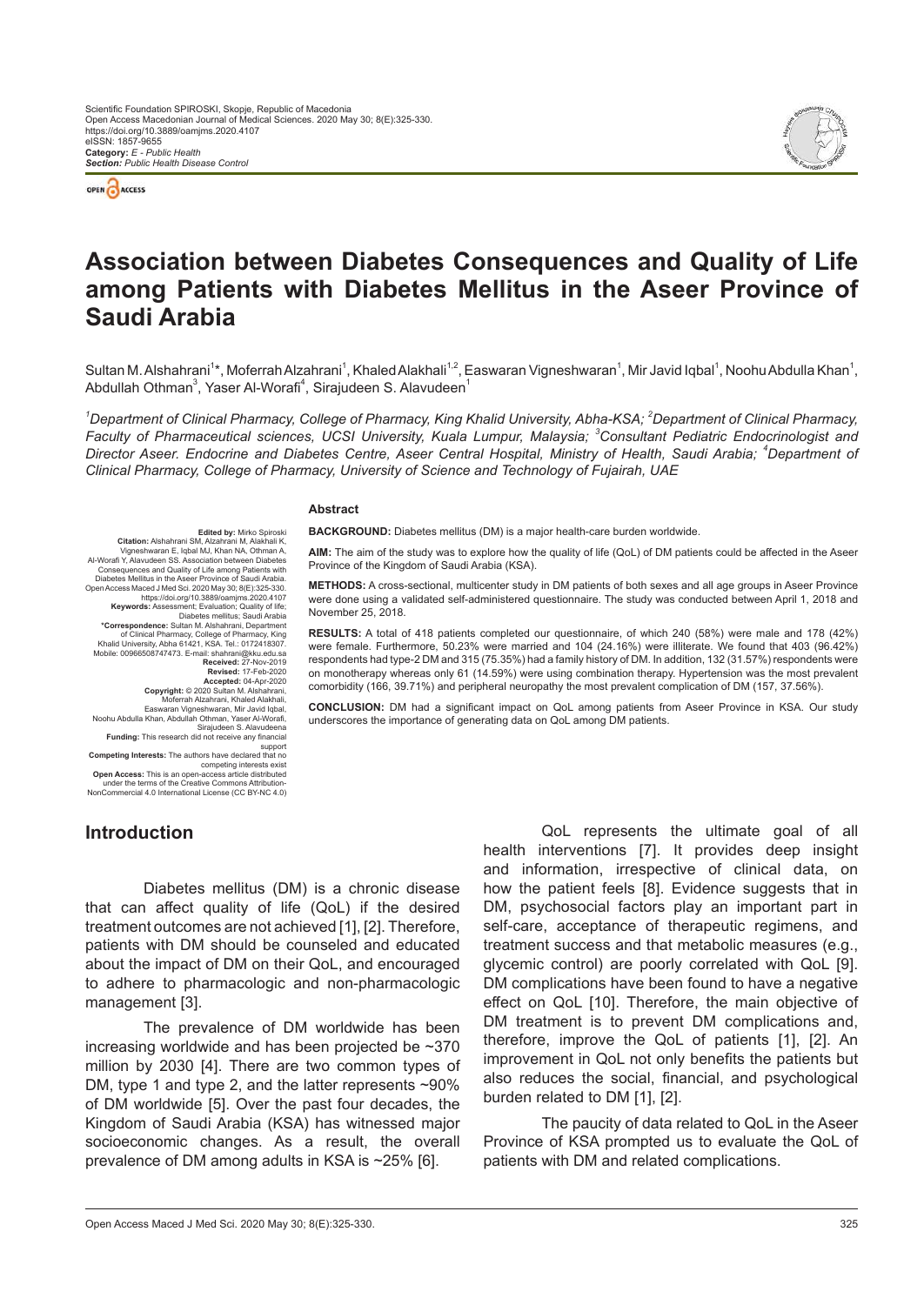



# **Association between Diabetes Consequences and Quality of Life among Patients with Diabetes Mellitus in the Aseer Province of Saudi Arabia**

Sultan M. Alshahrani<sup>1</sup>\*, Moferrah Alzahrani<sup>1</sup>, Khaled Alakhali<sup>1.2</sup>, Easwaran Vigneshwaran<sup>1</sup>, Mir Javid Iqbal<sup>1</sup>, Noohu Abdulla Khan<sup>1</sup>, Abdullah Othman $^3$ , Yaser Al-Worafi $^4$ , Sirajudeen S. Alavudeen $^1$ 

<sup>1</sup>*Department of Clinical Pharmacy, College of Pharmacy, King Khalid University, Abha-KSA; <sup>2</sup><i>Department of Clinical Pharmacy, Faculty of Pharmaceutical sciences, UCSI University, Kuala Lumpur, Malaysia; <sup>3</sup>Consultant Pediatric Endocrinologist and Director Aseer. Endocrine and Diabetes Centre, Aseer Central Hospital, Ministry of Health, Saudi Arabia; <sup>4</sup>Department of Clinical Pharmacy, College of Pharmacy, University of Science and Technology of Fujairah, UAE*

#### **Abstract**

**BACKGROUND:** Diabetes mellitus (DM) is a major health-care burden worldwide.

**AIM:** The aim of the study was to explore how the quality of life (QoL) of DM patients could be affected in the Aseer Province of the Kingdom of Saudi Arabia (KSA).

**METHODS:** A cross-sectional, multicenter study in DM patients of both sexes and all age groups in Aseer Province were done using a validated self-administered questionnaire. The study was conducted between April 1, 2018 and November 25, 2018.

**RESULTS:** A total of 418 patients completed our questionnaire, of which 240 (58%) were male and 178 (42%) were female. Furthermore, 50.23% were married and 104 (24.16%) were illiterate. We found that 403 (96.42%) respondents had type-2 DM and 315 (75.35%) had a family history of DM. In addition, 132 (31.57%) respondents were on monotherapy whereas only 61 (14.59%) were using combination therapy. Hypertension was the most prevalent comorbidity (166, 39.71%) and peripheral neuropathy the most prevalent complication of DM (157, 37.56%).

**CONCLUSION:** DM had a significant impact on QoL among patients from Aseer Province in KSA. Our study underscores the importance of generating data on QoL among DM patients.

https://doi.org/10.3889/oamjms.2020.4107 **Keywords:** Assessment; Evaluation; Quality of life; Diabetes mellitus; Saudi Arabia<br>Correspondence: Sultan M. Alshahrani, Department<br>of Clinical Pharmacy, College of Pharmacy, King<br>Khalid University, Abha 61421, KSA. Tel.: 0172418307.<br>Mobile: 00966508747473. E-mail: shahran **Received: 27-Nov-2019<br><b>Revised: 17-Feb-2020** Revised: 17-Feb-2020<br>Recepted: 04-Apr-2020<br>Copyright: © 2020 Sultan M. Alshahrani,<br>Moferrah Alzahrani, Khaled Alakhali,<br>Easwaran Vigneshwaran, Mir Javid Iqbal,<br>Noohu Abdulla Khan, Abdullah Othman, Yaser Al-Worafi, Sirajudeen S. Alavudeena **Funding:** This research did not receive any financial support **Competing Interests:** The authors have declared that no

**Edited by: Mirko Spiroski**<br>Citation: Alshahrani SM, Alzahrani M, Alakhali K

**Citation:** Alshahrani SM, Alzahrani M, Alakhali K,<br>
Vigneshwaran E, Iqbal MJ, Khan NA, Othman A,<br>
Al-Worafi Y, Alavudeen SS. Association between Diabetes<br>
Consequences and Quality of Life among Patients with<br>
Diabetes Mel

competing interests exist **Open Access:** This is an open-access article distributed under the terms of the Creative Commons Attribution-NonCommercial 4.0 International License (CC BY-NC 4.0)

# **Introduction**

Diabetes mellitus (DM) is a chronic disease that can affect quality of life (QoL) if the desired treatment outcomes are not achieved [1], [2]. Therefore, patients with DM should be counseled and educated about the impact of DM on their QoL, and encouraged to adhere to pharmacologic and non-pharmacologic management [3].

The prevalence of DM worldwide has been increasing worldwide and has been projected be ~370 million by 2030 [4]. There are two common types of DM, type 1 and type 2, and the latter represents ~90% of DM worldwide [5]. Over the past four decades, the Kingdom of Saudi Arabia (KSA) has witnessed major socioeconomic changes. As a result, the overall prevalence of DM among adults in KSA is ~25% [6].

QoL represents the ultimate goal of all health interventions [7]. It provides deep insight and information, irrespective of clinical data, on how the patient feels [8]. Evidence suggests that in DM, psychosocial factors play an important part in self-care, acceptance of therapeutic regimens, and treatment success and that metabolic measures (e.g., glycemic control) are poorly correlated with QoL [9]. DM complications have been found to have a negative effect on QoL [10]. Therefore, the main objective of DM treatment is to prevent DM complications and, therefore, improve the QoL of patients [1], [2]. An improvement in QoL not only benefits the patients but also reduces the social, financial, and psychological burden related to DM [1], [2].

The paucity of data related to QoL in the Aseer Province of KSA prompted us to evaluate the QoL of patients with DM and related complications.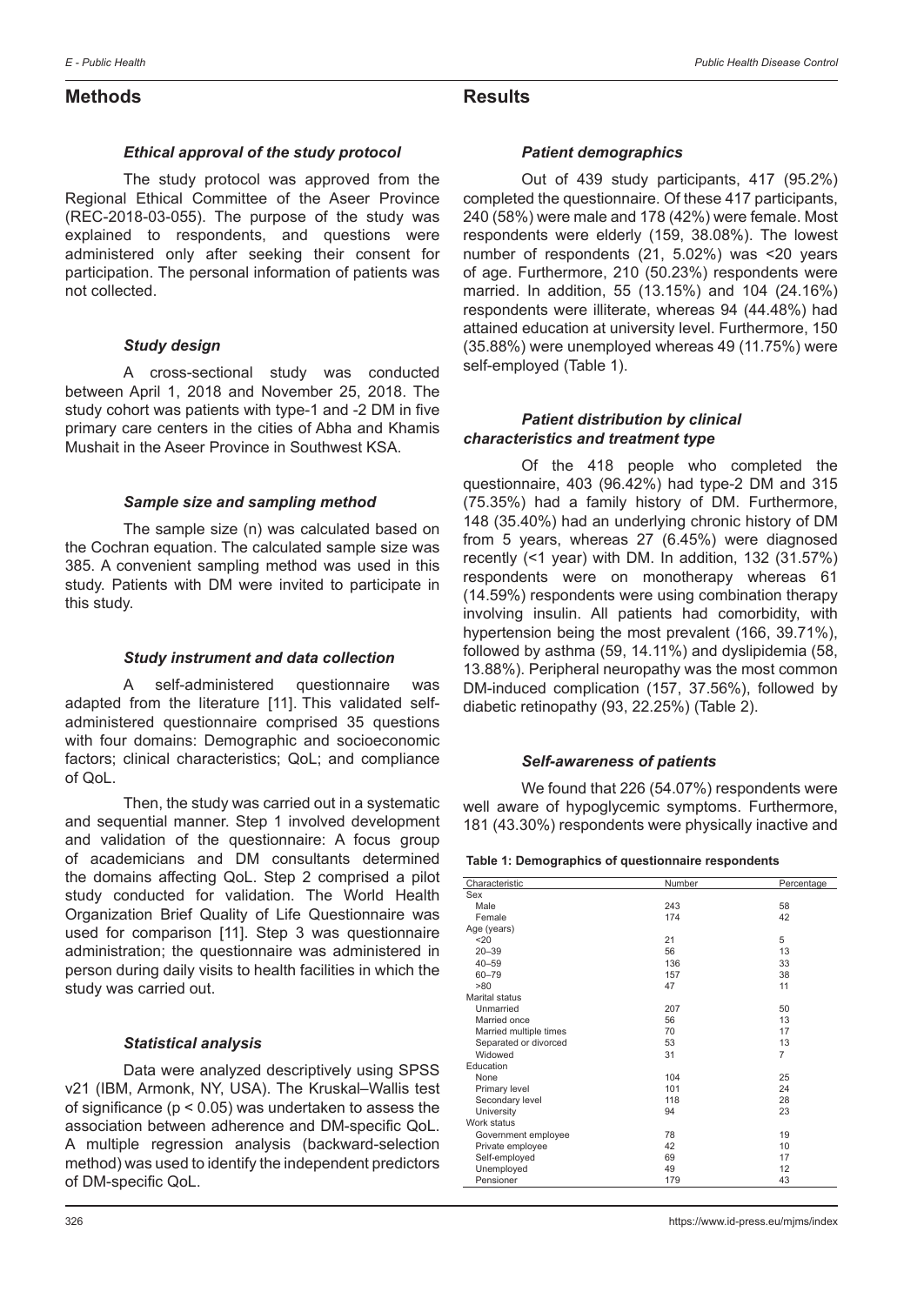# **Methods**

# **Results**

### *Ethical approval of the study protocol*

The study protocol was approved from the Regional Ethical Committee of the Aseer Province (REC-2018-03-055). The purpose of the study was explained to respondents, and questions were administered only after seeking their consent for participation. The personal information of patients was not collected.

#### *Study design*

A cross-sectional study was conducted between April 1, 2018 and November 25, 2018. The study cohort was patients with type-1 and -2 DM in five primary care centers in the cities of Abha and Khamis Mushait in the Aseer Province in Southwest KSA.

# *Sample size and sampling method*

The sample size (n) was calculated based on the Cochran equation. The calculated sample size was 385. A convenient sampling method was used in this study. Patients with DM were invited to participate in this study.

#### *Study instrument and data collection*

A self-administered questionnaire was adapted from the literature [11]. This validated selfadministered questionnaire comprised 35 questions with four domains: Demographic and socioeconomic factors; clinical characteristics; QoL; and compliance of QoL.

Then, the study was carried out in a systematic and sequential manner. Step 1 involved development and validation of the questionnaire: A focus group of academicians and DM consultants determined the domains affecting QoL. Step 2 comprised a pilot study conducted for validation. The World Health Organization Brief Quality of Life Questionnaire was used for comparison [11]. Step 3 was questionnaire administration; the questionnaire was administered in person during daily visits to health facilities in which the study was carried out.

# *Statistical analysis*

Data were analyzed descriptively using SPSS v21 (IBM, Armonk, NY, USA). The Kruskal–Wallis test of significance (p < 0.05) was undertaken to assess the association between adherence and DM-specific QoL. A multiple regression analysis (backward-selection method) was used to identify the independent predictors of DM-specific QoL.

#### *Patient demographics*

Out of 439 study participants, 417 (95.2%) completed the questionnaire. Of these 417 participants, 240 (58%) were male and 178 (42%) were female. Most respondents were elderly (159, 38.08%). The lowest number of respondents (21, 5.02%) was <20 years of age. Furthermore, 210 (50.23%) respondents were married. In addition, 55 (13.15%) and 104 (24.16%) respondents were illiterate, whereas 94 (44.48%) had attained education at university level. Furthermore, 150 (35.88%) were unemployed whereas 49 (11.75%) were self-employed (Table 1).

#### *Patient distribution by clinical characteristics and treatment type*

Of the 418 people who completed the questionnaire, 403 (96.42%) had type-2 DM and 315 (75.35%) had a family history of DM. Furthermore, 148 (35.40%) had an underlying chronic history of DM from 5 years, whereas 27 (6.45%) were diagnosed recently (<1 year) with DM. In addition, 132 (31.57%) respondents were on monotherapy whereas 61 (14.59%) respondents were using combination therapy involving insulin. All patients had comorbidity, with hypertension being the most prevalent (166, 39.71%), followed by asthma (59, 14.11%) and dyslipidemia (58, 13.88%). Peripheral neuropathy was the most common DM-induced complication (157, 37.56%), followed by diabetic retinopathy (93, 22.25%) (Table 2).

# *Self-awareness of patients*

We found that 226 (54.07%) respondents were well aware of hypoglycemic symptoms. Furthermore, 181 (43.30%) respondents were physically inactive and

| Characteristic         | Number | Percentage     |
|------------------------|--------|----------------|
| Sex                    |        |                |
| Male                   | 243    | 58             |
| Female                 | 174    | 42             |
| Age (years)            |        |                |
| 20                     | 21     | 5              |
| $20 - 39$              | 56     | 13             |
| $40 - 59$              | 136    | 33             |
| 60-79                  | 157    | 38             |
| >80                    | 47     | 11             |
| Marital status         |        |                |
| Unmarried              | 207    | 50             |
| Married once           | 56     | 13             |
| Married multiple times | 70     | 17             |
| Separated or divorced  | 53     | 13             |
| Widowed                | 31     | $\overline{7}$ |
| Education              |        |                |
| None                   | 104    | 25             |
| Primary level          | 101    | 24             |
| Secondary level        | 118    | 28             |
| University             | 94     | 23             |
| Work status            |        |                |
| Government employee    | 78     | 19             |
| Private employee       | 42     | 10             |
| Self-employed          | 69     | 17             |
| Unemployed             | 49     | 12             |
| Pensioner              | 179    | 43             |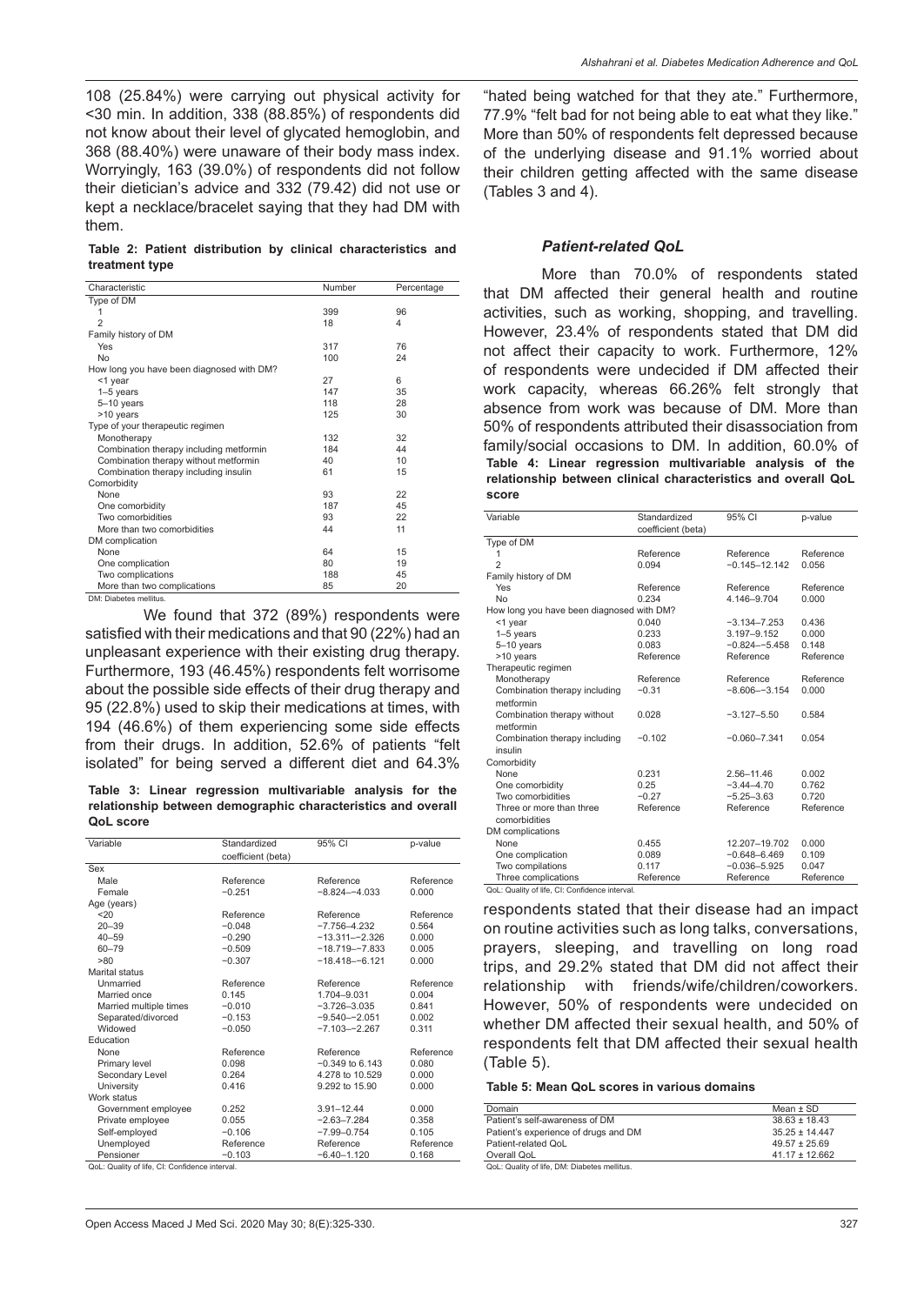108 (25.84%) were carrying out physical activity for <30 min. In addition, 338 (88.85%) of respondents did not know about their level of glycated hemoglobin, and 368 (88.40%) were unaware of their body mass index. Worryingly, 163 (39.0%) of respondents did not follow their dietician's advice and 332 (79.42) did not use or kept a necklace/bracelet saying that they had DM with them.

**Table 2: Patient distribution by clinical characteristics and treatment type**

| Characteristic                            | Number | Percentage |
|-------------------------------------------|--------|------------|
| Type of DM                                |        |            |
| 1                                         | 399    | 96         |
| $\overline{2}$                            | 18     | 4          |
| Family history of DM                      |        |            |
| Yes                                       | 317    | 76         |
| No                                        | 100    | 24         |
| How long you have been diagnosed with DM? |        |            |
| <1 year                                   | 27     | 6          |
| $1-5$ years                               | 147    | 35         |
| 5-10 years                                | 118    | 28         |
| >10 years                                 | 125    | 30         |
| Type of your therapeutic regimen          |        |            |
| Monotherapy                               | 132    | 32         |
| Combination therapy including metformin   | 184    | 44         |
| Combination therapy without metformin     | 40     | 10         |
| Combination therapy including insulin     | 61     | 15         |
| Comorbidity                               |        |            |
| None                                      | 93     | 22         |
| One comorbidity                           | 187    | 45         |
| Two comorbidities                         | 93     | 22         |
| More than two comorbidities               | 44     | 11         |
| DM complication                           |        |            |
| None                                      | 64     | 15         |
| One complication                          | 80     | 19         |
| Two complications                         | 188    | 45         |
| More than two complications               | 85     | 20         |

DM: Diabetes mellitus.

We found that 372 (89%) respondents were satisfied with their medications and that 90 (22%) had an unpleasant experience with their existing drug therapy. Furthermore, 193 (46.45%) respondents felt worrisome about the possible side effects of their drug therapy and 95 (22.8%) used to skip their medications at times, with 194 (46.6%) of them experiencing some side effects from their drugs. In addition, 52.6% of patients "felt isolated" for being served a different diet and 64.3%

**Table 3: Linear regression multivariable analysis for the relationship between demographic characteristics and overall QoL score**

| Variable               | Standardized       | 95% CI              | p-value   |
|------------------------|--------------------|---------------------|-----------|
|                        | coefficient (beta) |                     |           |
| Sex                    |                    |                     |           |
| Male                   | Reference          | Reference           | Reference |
| Female                 | $-0.251$           | $-8.824 - -4.033$   | 0.000     |
| Age (years)            |                    |                     |           |
| 20                     | Reference          | Reference           | Reference |
| $20 - 39$              | $-0.048$           | $-7.756 - 4.232$    | 0.564     |
| $40 - 59$              | $-0.290$           | $-13.311 - -2.326$  | 0.000     |
| $60 - 79$              | $-0.509$           | $-18.719 - -7.833$  | 0.005     |
| >80                    | $-0.307$           | $-18.418 - -6.121$  | 0.000     |
| Marital status         |                    |                     |           |
| Unmarried              | Reference          | Reference           | Reference |
| Married once           | 0.145              | 1.704-9.031         | 0.004     |
| Married multiple times | $-0.010$           | $-3.726 - 3.035$    | 0.841     |
| Separated/divorced     | $-0.153$           | $-9.540 - -2.051$   | 0.002     |
| Widowed                | $-0.050$           | $-7.103 - -2.267$   | 0.311     |
| Education              |                    |                     |           |
| None                   | Reference          | Reference           | Reference |
| Primary level          | 0.098              | $-0.349$ to $6.143$ | 0.080     |
| Secondary Level        | 0.264              | 4.278 to 10.529     | 0.000     |
| University             | 0.416              | 9.292 to 15.90      | 0.000     |
| Work status            |                    |                     |           |
| Government employee    | 0.252              | $3.91 - 12.44$      | 0.000     |
| Private employee       | 0.055              | $-2.63 - 7.284$     | 0.358     |
| Self-employed          | $-0.106$           | $-7.99 - 0.754$     | 0.105     |
| Unemployed             | Reference          | Reference           | Reference |
| Pensioner              | $-0.103$           | $-6.40 - 1.120$     | 0.168     |

QoL: Quality of life, CI: Confidence interval.

"hated being watched for that they ate." Furthermore, 77.9% "felt bad for not being able to eat what they like." More than 50% of respondents felt depressed because of the underlying disease and 91.1% worried about their children getting affected with the same disease (Tables 3 and 4).

#### *Patient-related QoL*

More than 70.0% of respondents stated that DM affected their general health and routine activities, such as working, shopping, and travelling. However, 23.4% of respondents stated that DM did not affect their capacity to work. Furthermore, 12% of respondents were undecided if DM affected their work capacity, whereas 66.26% felt strongly that absence from work was because of DM. More than 50% of respondents attributed their disassociation from family/social occasions to DM. In addition, 60.0% of **Table 4: Linear regression multivariable analysis of the relationship between clinical characteristics and overall QoL score**

| Variable                                       | Standardized<br>coefficient (beta) | 95% CI            | p-value   |
|------------------------------------------------|------------------------------------|-------------------|-----------|
| Type of DM                                     |                                    |                   |           |
| 1                                              | Reference                          | Reference         | Reference |
| $\mathfrak{p}$                                 | 0.094                              | $-0.145 - 12.142$ | 0.056     |
| Family history of DM                           |                                    |                   |           |
| Yes                                            | Reference                          | Reference         | Reference |
| <b>No</b>                                      | 0.234                              | 4.146-9.704       | 0.000     |
| How long you have been diagnosed with DM?      |                                    |                   |           |
| <1 year                                        | 0.040                              | $-3.134 - 7.253$  | 0.436     |
| $1-5$ years                                    | 0.233                              | 3.197-9.152       | 0.000     |
| 5-10 years                                     | 0.083                              | $-0.824 - -5.458$ | 0.148     |
| >10 years                                      | Reference                          | Reference         | Reference |
| Therapeutic regimen                            |                                    |                   |           |
| Monotherapy                                    | Reference                          | Reference         | Reference |
| Combination therapy including                  | $-0.31$                            | $-8.606 - -3.154$ | 0.000     |
| metformin                                      |                                    |                   |           |
| Combination therapy without                    | 0.028                              | $-3.127 - 5.50$   | 0.584     |
| metformin                                      |                                    |                   |           |
| Combination therapy including                  | $-0.102$                           | $-0.060 - 7.341$  | 0.054     |
| insulin                                        |                                    |                   |           |
| Comorbidity                                    |                                    |                   |           |
| None                                           | 0.231                              | 2.56-11.46        | 0.002     |
| One comorbidity                                | 0.25                               | $-3.44 - 4.70$    | 0.762     |
| Two comorbidities                              | $-0.27$                            | $-5.25 - 3.63$    | 0.720     |
| Three or more than three                       | Reference                          | Reference         | Reference |
| comorbidities                                  |                                    |                   |           |
| DM complications                               |                                    |                   |           |
| None                                           | 0.455                              | 12.207-19.702     | 0.000     |
| One complication                               | 0.089                              | $-0.648 - 6.469$  | 0.109     |
| Two compilations                               | 0.117                              | $-0.036 - 5.925$  | 0.047     |
| Three complications                            | Reference                          | Reference         | Reference |
| QoL: Quality of life, CI: Confidence interval. |                                    |                   |           |

respondents stated that their disease had an impact on routine activities such as long talks, conversations, prayers, sleeping, and travelling on long road trips, and 29.2% stated that DM did not affect their relationship with friends/wife/children/coworkers. However, 50% of respondents were undecided on whether DM affected their sexual health, and 50% of respondents felt that DM affected their sexual health (Table 5).

#### **Table 5: Mean QoL scores in various domains**

| Domain                               | Mean $\pm$ SD      |
|--------------------------------------|--------------------|
| Patient's self-awareness of DM       | $38.63 \pm 18.43$  |
| Patient's experience of drugs and DM | $35.25 \pm 14.447$ |
| Patient-related QoL                  | $49.57 \pm 25.69$  |
| Overall QoL                          | $41.17 \pm 12.662$ |

QoL: Quality of life, DM: Diabetes mellitus.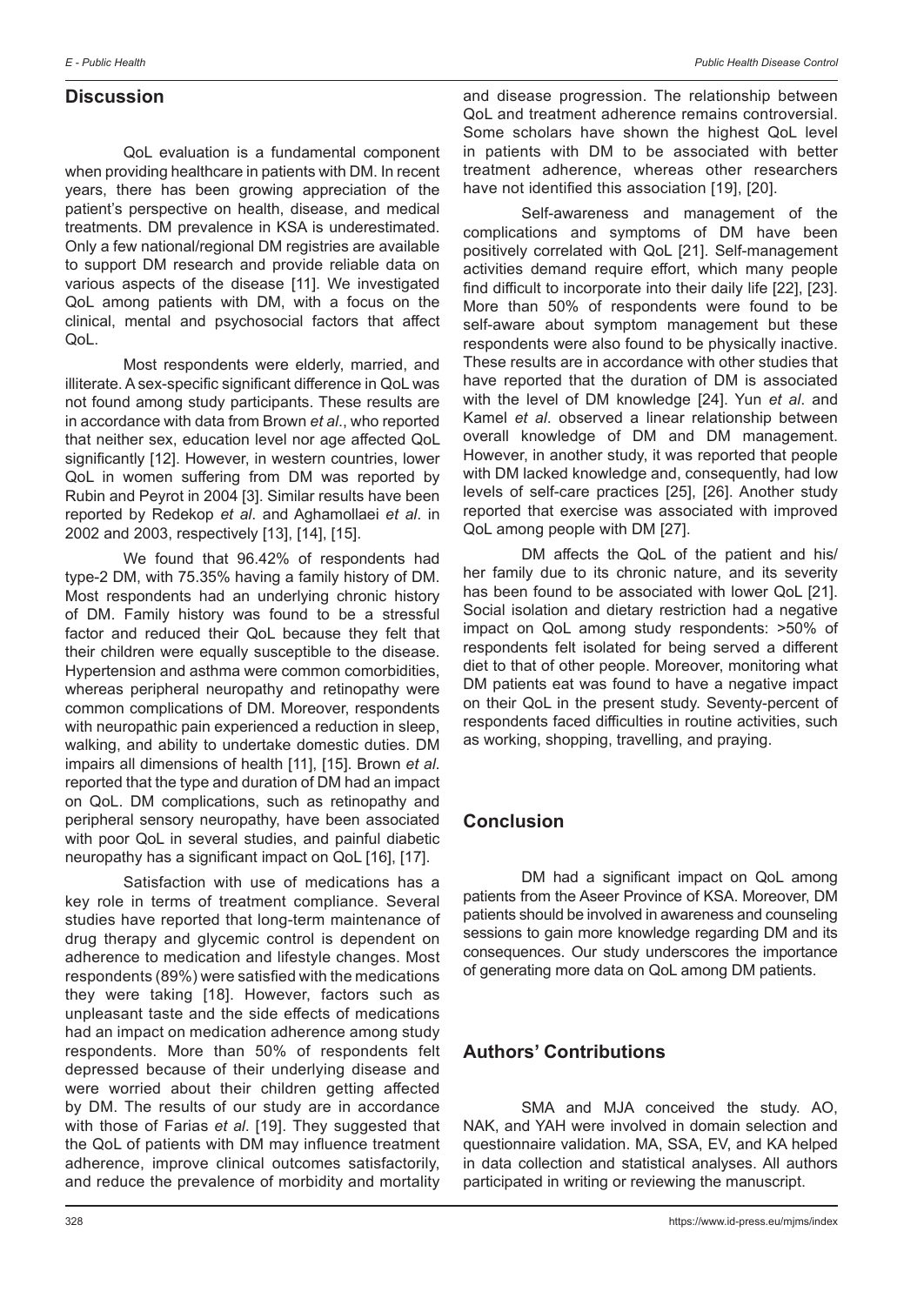# **Discussion**

QoL evaluation is a fundamental component when providing healthcare in patients with DM. In recent years, there has been growing appreciation of the patient's perspective on health, disease, and medical treatments. DM prevalence in KSA is underestimated. Only a few national/regional DM registries are available to support DM research and provide reliable data on various aspects of the disease [11]. We investigated QoL among patients with DM, with a focus on the clinical, mental and psychosocial factors that affect QoL.

Most respondents were elderly, married, and illiterate. A sex-specific significant difference in QoL was not found among study participants. These results are in accordance with data from Brown *et al*., who reported that neither sex, education level nor age affected QoL significantly [12]. However, in western countries, lower QoL in women suffering from DM was reported by Rubin and Peyrot in 2004 [3]. Similar results have been reported by Redekop *et al*. and Aghamollaei *et al*. in 2002 and 2003, respectively [13], [14], [15].

We found that 96.42% of respondents had type-2 DM, with 75.35% having a family history of DM. Most respondents had an underlying chronic history of DM. Family history was found to be a stressful factor and reduced their QoL because they felt that their children were equally susceptible to the disease. Hypertension and asthma were common comorbidities, whereas peripheral neuropathy and retinopathy were common complications of DM. Moreover, respondents with neuropathic pain experienced a reduction in sleep. walking, and ability to undertake domestic duties. DM impairs all dimensions of health [11], [15]. Brown *et al*. reported that the type and duration of DM had an impact on QoL. DM complications, such as retinopathy and peripheral sensory neuropathy, have been associated with poor QoL in several studies, and painful diabetic neuropathy has a significant impact on QoL [16], [17].

Satisfaction with use of medications has a key role in terms of treatment compliance. Several studies have reported that long-term maintenance of drug therapy and glycemic control is dependent on adherence to medication and lifestyle changes. Most respondents (89%) were satisfied with the medications they were taking [18]. However, factors such as unpleasant taste and the side effects of medications had an impact on medication adherence among study respondents. More than 50% of respondents felt depressed because of their underlying disease and were worried about their children getting affected by DM. The results of our study are in accordance with those of Farias *et al*. [19]. They suggested that the QoL of patients with DM may influence treatment adherence, improve clinical outcomes satisfactorily, and reduce the prevalence of morbidity and mortality and disease progression. The relationship between QoL and treatment adherence remains controversial. Some scholars have shown the highest QoL level in patients with DM to be associated with better treatment adherence, whereas other researchers have not identified this association [19], [20].

Self-awareness and management of the complications and symptoms of DM have been positively correlated with QoL [21]. Self-management activities demand require effort, which many people find difficult to incorporate into their daily life [22], [23]. More than 50% of respondents were found to be self-aware about symptom management but these respondents were also found to be physically inactive. These results are in accordance with other studies that have reported that the duration of DM is associated with the level of DM knowledge [24]. Yun *et al*. and Kamel *et al*. observed a linear relationship between overall knowledge of DM and DM management. However, in another study, it was reported that people with DM lacked knowledge and, consequently, had low levels of self-care practices [25], [26]. Another study reported that exercise was associated with improved QoL among people with DM [27].

DM affects the QoL of the patient and his/ her family due to its chronic nature, and its severity has been found to be associated with lower QoL [21]. Social isolation and dietary restriction had a negative impact on QoL among study respondents: >50% of respondents felt isolated for being served a different diet to that of other people. Moreover, monitoring what DM patients eat was found to have a negative impact on their QoL in the present study. Seventy-percent of respondents faced difficulties in routine activities, such as working, shopping, travelling, and praying.

# **Conclusion**

DM had a significant impact on QoL among patients from the Aseer Province of KSA. Moreover, DM patients should be involved in awareness and counseling sessions to gain more knowledge regarding DM and its consequences. Our study underscores the importance of generating more data on QoL among DM patients.

# **Authors' Contributions**

SMA and MJA conceived the study. AO, NAK, and YAH were involved in domain selection and questionnaire validation. MA, SSA, EV, and KA helped in data collection and statistical analyses. All authors participated in writing or reviewing the manuscript.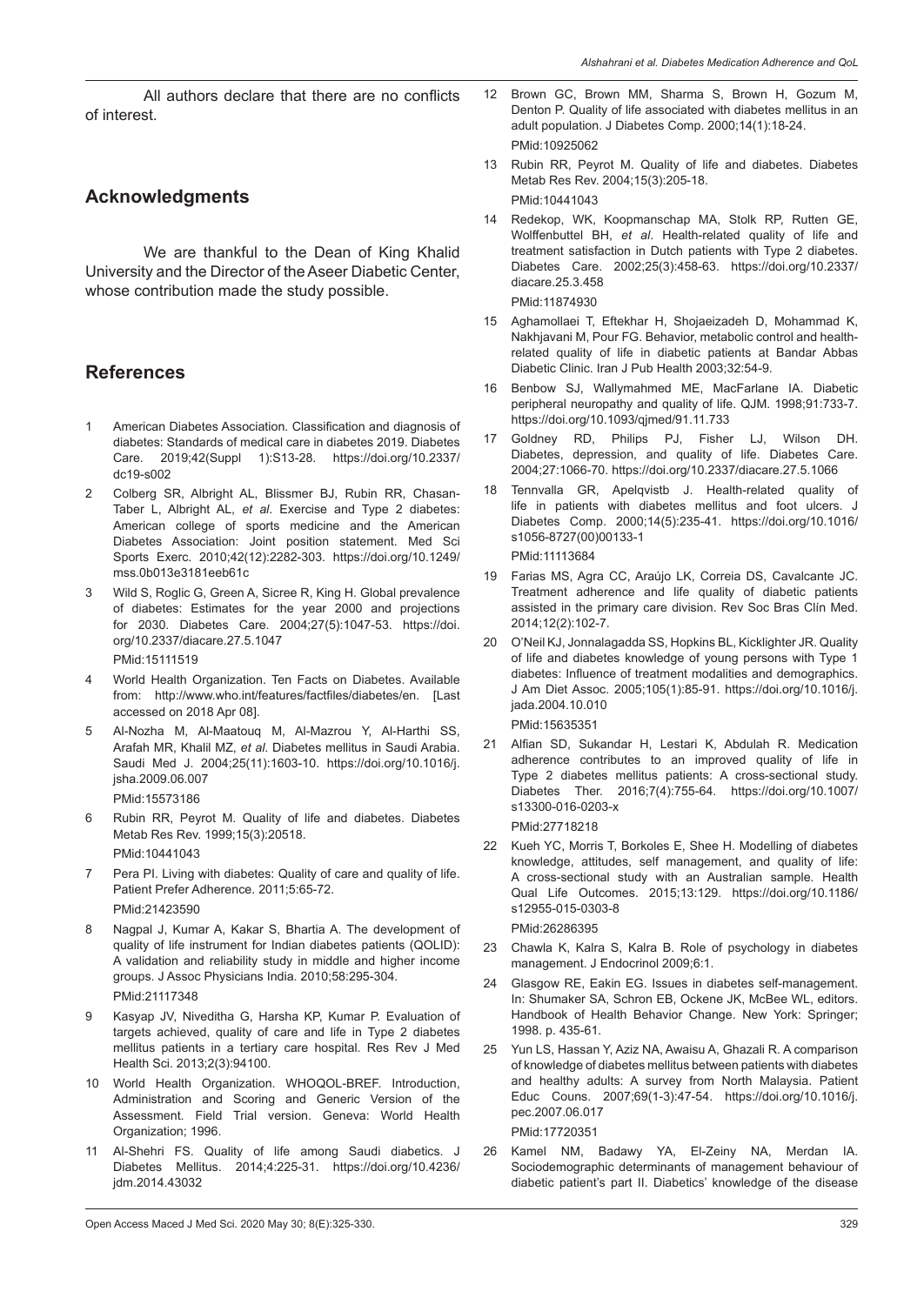All authors declare that there are no conflicts of interest.

# **Acknowledgments**

We are thankful to the Dean of King Khalid University and the Director of the Aseer Diabetic Center, whose contribution made the study possible.

# **References**

- 1 American Diabetes Association. Classification and diagnosis of diabetes: Standards of medical care in diabetes 2019. Diabetes Care. 2019;42(Suppl 1):S13-28. https://doi.org/10.2337/ dc19-s002
- 2 Colberg SR, Albright AL, Blissmer BJ, Rubin RR, Chasan-Taber L, Albright AL, *et al*. Exercise and Type 2 diabetes: American college of sports medicine and the American Diabetes Association: Joint position statement. Med Sci Sports Exerc. 2010;42(12):2282-303. https://doi.org/10.1249/ mss.0b013e3181eeb61c
- 3 Wild S, Roglic G, Green A, Sicree R, King H. Global prevalence of diabetes: Estimates for the year 2000 and projections for 2030. Diabetes Care. 2004;27(5):1047-53. https://doi. org/10.2337/diacare.27.5.1047

PMid:15111519

- 4 World Health Organization. Ten Facts on Diabetes. Available from: http://www.who.int/features/factfiles/diabetes/en. [Last accessed on 2018 Apr 08].
- 5 Al-Nozha M, Al-Maatouq M, Al-Mazrou Y, Al-Harthi SS, Arafah MR, Khalil MZ, *et al*. Diabetes mellitus in Saudi Arabia. Saudi Med J. 2004;25(11):1603-10. https://doi.org/10.1016/j. jsha.2009.06.007 PMid:15573186
- 6 Rubin RR, Peyrot M. Quality of life and diabetes. Diabetes Metab Res Rev. 1999;15(3):20518. PMid:10441043
- 7 Pera PI. Living with diabetes: Quality of care and quality of life. Patient Prefer Adherence. 2011;5:65-72. PMid:21423590
- 8 Nagpal J, Kumar A, Kakar S, Bhartia A. The development of quality of life instrument for Indian diabetes patients (QOLID): A validation and reliability study in middle and higher income groups. J Assoc Physicians India. 2010;58:295-304. PMid:21117348
- 9 Kasyap JV, Niveditha G, Harsha KP, Kumar P. Evaluation of targets achieved, quality of care and life in Type 2 diabetes mellitus patients in a tertiary care hospital. Res Rev J Med Health Sci. 2013;2(3):94100.
- 10 World Health Organization. WHOQOL-BREF. Introduction, Administration and Scoring and Generic Version of the Assessment. Field Trial version. Geneva: World Health Organization; 1996.
- 11 Al-Shehri FS. Quality of life among Saudi diabetics. J Diabetes Mellitus. 2014;4:225-31. https://doi.org/10.4236/ jdm.2014.43032
- 12 Brown GC, Brown MM, Sharma S, Brown H, Gozum M, Denton P. Quality of life associated with diabetes mellitus in an adult population. J Diabetes Comp. 2000;14(1):18-24. PMid:10925062
- 13 Rubin RR, Peyrot M. Quality of life and diabetes. Diabetes Metab Res Rev. 2004;15(3):205-18. PMid:10441043
- 14 Redekop, WK, Koopmanschap MA, Stolk RP, Rutten GE, Wolffenbuttel BH, *et al*. Health-related quality of life and treatment satisfaction in Dutch patients with Type 2 diabetes. Diabetes Care. 2002;25(3):458-63. https://doi.org/10.2337/ diacare.25.3.458

PMid:11874930

- 15 Aghamollaei T, Eftekhar H, Shojaeizadeh D, Mohammad K, Nakhjavani M, Pour FG. Behavior, metabolic control and healthrelated quality of life in diabetic patients at Bandar Abbas Diabetic Clinic. Iran J Pub Health 2003;32:54-9.
- 16 Benbow SJ, Wallymahmed ME, MacFarlane IA. Diabetic peripheral neuropathy and quality of life. QJM. 1998;91:733-7. https://doi.org/10.1093/qjmed/91.11.733
- 17 Goldney RD, Philips PJ, Fisher LJ, Wilson DH. Diabetes, depression, and quality of life. Diabetes Care. 2004;27:1066-70. https://doi.org/10.2337/diacare.27.5.1066
- 18 Tennvalla GR, Apelqvistb J. Health-related quality of life in patients with diabetes mellitus and foot ulcers. J Diabetes Comp. 2000;14(5):235-41. https://doi.org/10.1016/ s1056-8727(00)00133-1

PMid:11113684

- 19 Farias MS, Agra CC, Araújo LK, Correia DS, Cavalcante JC. Treatment adherence and life quality of diabetic patients assisted in the primary care division. Rev Soc Bras Clín Med. 2014;12(2):102-7.
- 20 O'Neil KJ, Jonnalagadda SS, Hopkins BL, Kicklighter JR. Quality of life and diabetes knowledge of young persons with Type 1 diabetes: Influence of treatment modalities and demographics. J Am Diet Assoc. 2005;105(1):85-91. https://doi.org/10.1016/j. jada.2004.10.010 PMid:15635351
- 21 Alfian SD, Sukandar H, Lestari K, Abdulah R. Medication adherence contributes to an improved quality of life in Type 2 diabetes mellitus patients: A cross-sectional study. Diabetes Ther. 2016;7(4):755-64. https://doi.org/10.1007/ s13300-016-0203-x

PMid:27718218

22 Kueh YC, Morris T, Borkoles E, Shee H. Modelling of diabetes knowledge, attitudes, self management, and quality of life: A cross-sectional study with an Australian sample. Health Qual Life Outcomes. 2015;13:129. https://doi.org/10.1186/ s12955-015-0303-8

PMid:26286395

- 23 Chawla K, Kalra S, Kalra B. Role of psychology in diabetes management. J Endocrinol 2009;6:1.
- 24 Glasgow RE, Eakin EG. Issues in diabetes self-management. In: Shumaker SA, Schron EB, Ockene JK, McBee WL, editors. Handbook of Health Behavior Change. New York: Springer; 1998. p. 435-61.
- 25 Yun LS, Hassan Y, Aziz NA, Awaisu A, Ghazali R. A comparison of knowledge of diabetes mellitus between patients with diabetes and healthy adults: A survey from North Malaysia. Patient Educ Couns. 2007;69(1-3):47-54. https://doi.org/10.1016/j. pec.2007.06.017 PMid:17720351
- 26 Kamel NM, Badawy YA, El-Zeiny NA, Merdan IA. Sociodemographic determinants of management behaviour of diabetic patient's part II. Diabetics' knowledge of the disease